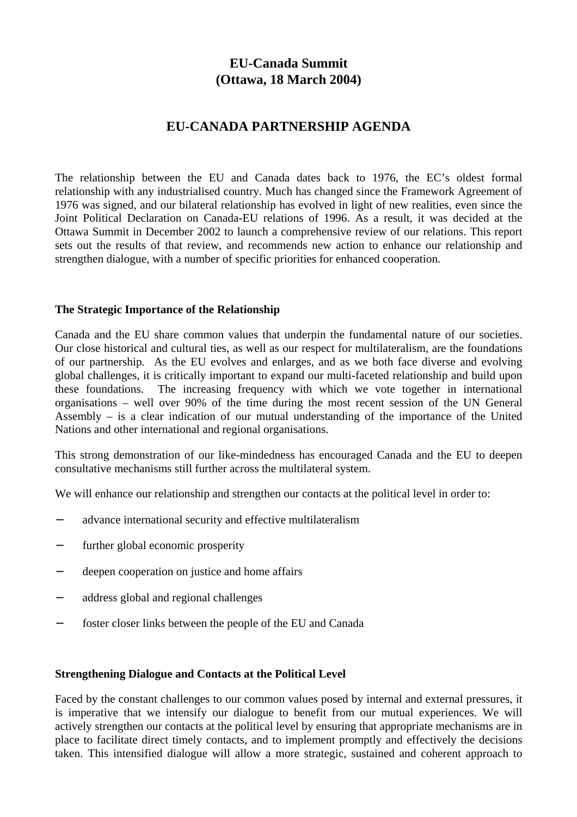# **EU-Canada Summit (Ottawa, 18 March 2004)**

## **EU-CANADA PARTNERSHIP AGENDA**

The relationship between the EU and Canada dates back to 1976, the EC's oldest formal relationship with any industrialised country. Much has changed since the Framework Agreement of 1976 was signed, and our bilateral relationship has evolved in light of new realities, even since the Joint Political Declaration on Canada-EU relations of 1996. As a result, it was decided at the Ottawa Summit in December 2002 to launch a comprehensive review of our relations. This report sets out the results of that review, and recommends new action to enhance our relationship and strengthen dialogue, with a number of specific priorities for enhanced cooperation.

#### **The Strategic Importance of the Relationship**

Canada and the EU share common values that underpin the fundamental nature of our societies. Our close historical and cultural ties, as well as our respect for multilateralism, are the foundations of our partnership. As the EU evolves and enlarges, and as we both face diverse and evolving global challenges, it is critically important to expand our multi-faceted relationship and build upon these foundations. The increasing frequency with which we vote together in international organisations – well over 90% of the time during the most recent session of the UN General Assembly – is a clear indication of our mutual understanding of the importance of the United Nations and other international and regional organisations.

This strong demonstration of our like-mindedness has encouraged Canada and the EU to deepen consultative mechanisms still further across the multilateral system.

We will enhance our relationship and strengthen our contacts at the political level in order to:

- advance international security and effective multilateralism
- further global economic prosperity
- deepen cooperation on justice and home affairs
- − address global and regional challenges
- foster closer links between the people of the EU and Canada

#### **Strengthening Dialogue and Contacts at the Political Level**

Faced by the constant challenges to our common values posed by internal and external pressures, it is imperative that we intensify our dialogue to benefit from our mutual experiences. We will actively strengthen our contacts at the political level by ensuring that appropriate mechanisms are in place to facilitate direct timely contacts, and to implement promptly and effectively the decisions taken. This intensified dialogue will allow a more strategic, sustained and coherent approach to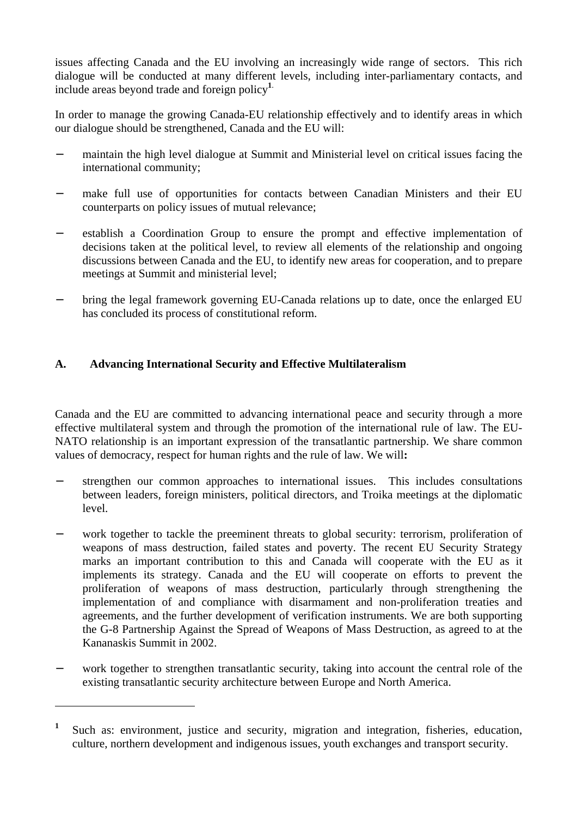issues affecting Canada and the EU involving an increasingly wide range of sectors. This rich dialogue will be conducted at many different levels, including inter-parliamentary contacts, and include areas beyond trade and foreign policy**<sup>1</sup>**.

In order to manage the growing Canada-EU relationship effectively and to identify areas in which our dialogue should be strengthened, Canada and the EU will:

- − maintain the high level dialogue at Summit and Ministerial level on critical issues facing the international community;
- make full use of opportunities for contacts between Canadian Ministers and their EU counterparts on policy issues of mutual relevance;
- − establish a Coordination Group to ensure the prompt and effective implementation of decisions taken at the political level, to review all elements of the relationship and ongoing discussions between Canada and the EU, to identify new areas for cooperation, and to prepare meetings at Summit and ministerial level;
- − bring the legal framework governing EU-Canada relations up to date, once the enlarged EU has concluded its process of constitutional reform.

## **A. Advancing International Security and Effective Multilateralism**

Canada and the EU are committed to advancing international peace and security through a more effective multilateral system and through the promotion of the international rule of law. The EU-NATO relationship is an important expression of the transatlantic partnership. We share common values of democracy, respect for human rights and the rule of law. We will**:**

- − strengthen our common approaches to international issues. This includes consultations between leaders, foreign ministers, political directors, and Troika meetings at the diplomatic level.
- work together to tackle the preeminent threats to global security: terrorism, proliferation of weapons of mass destruction, failed states and poverty. The recent EU Security Strategy marks an important contribution to this and Canada will cooperate with the EU as it implements its strategy. Canada and the EU will cooperate on efforts to prevent the proliferation of weapons of mass destruction, particularly through strengthening the implementation of and compliance with disarmament and non-proliferation treaties and agreements, and the further development of verification instruments. We are both supporting the G-8 Partnership Against the Spread of Weapons of Mass Destruction, as agreed to at the Kananaskis Summit in 2002.
- work together to strengthen transatlantic security, taking into account the central role of the existing transatlantic security architecture between Europe and North America.

 $\overline{a}$ 

**<sup>1</sup>** Such as: environment, justice and security, migration and integration, fisheries, education, culture, northern development and indigenous issues, youth exchanges and transport security.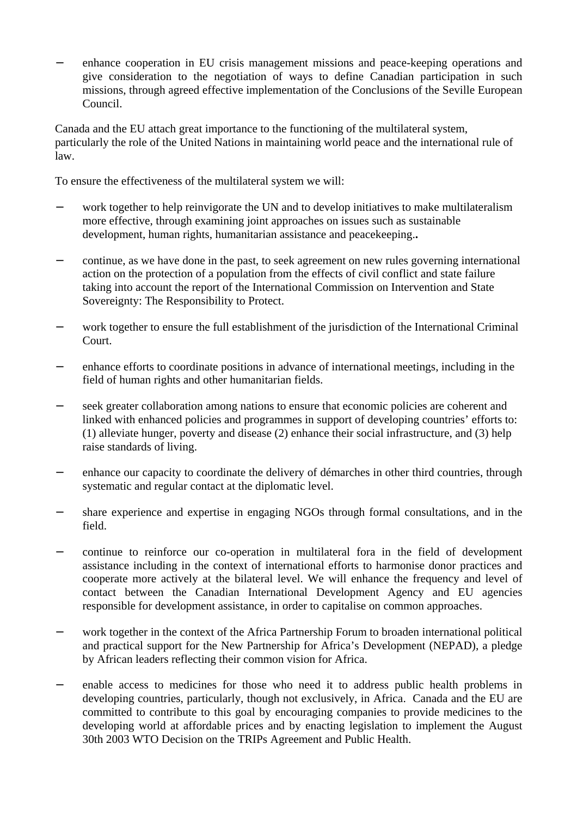enhance cooperation in EU crisis management missions and peace-keeping operations and give consideration to the negotiation of ways to define Canadian participation in such missions, through agreed effective implementation of the Conclusions of the Seville European Council.

Canada and the EU attach great importance to the functioning of the multilateral system, particularly the role of the United Nations in maintaining world peace and the international rule of law.

To ensure the effectiveness of the multilateral system we will:

- work together to help reinvigorate the UN and to develop initiatives to make multilateralism more effective, through examining joint approaches on issues such as sustainable development, human rights, humanitarian assistance and peacekeeping.**.**
- − continue, as we have done in the past, to seek agreement on new rules governing international action on the protection of a population from the effects of civil conflict and state failure taking into account the report of the International Commission on Intervention and State Sovereignty: The Responsibility to Protect.
- work together to ensure the full establishment of the jurisdiction of the International Criminal Court.
- enhance efforts to coordinate positions in advance of international meetings, including in the field of human rights and other humanitarian fields.
- − seek greater collaboration among nations to ensure that economic policies are coherent and linked with enhanced policies and programmes in support of developing countries' efforts to: (1) alleviate hunger, poverty and disease (2) enhance their social infrastructure, and (3) help raise standards of living.
- enhance our capacity to coordinate the delivery of démarches in other third countries, through systematic and regular contact at the diplomatic level.
- share experience and expertise in engaging NGOs through formal consultations, and in the field.
- − continue to reinforce our co-operation in multilateral fora in the field of development assistance including in the context of international efforts to harmonise donor practices and cooperate more actively at the bilateral level. We will enhance the frequency and level of contact between the Canadian International Development Agency and EU agencies responsible for development assistance, in order to capitalise on common approaches.
- − work together in the context of the Africa Partnership Forum to broaden international political and practical support for the New Partnership for Africa's Development (NEPAD), a pledge by African leaders reflecting their common vision for Africa.
- enable access to medicines for those who need it to address public health problems in developing countries, particularly, though not exclusively, in Africa. Canada and the EU are committed to contribute to this goal by encouraging companies to provide medicines to the developing world at affordable prices and by enacting legislation to implement the August 30th 2003 WTO Decision on the TRIPs Agreement and Public Health.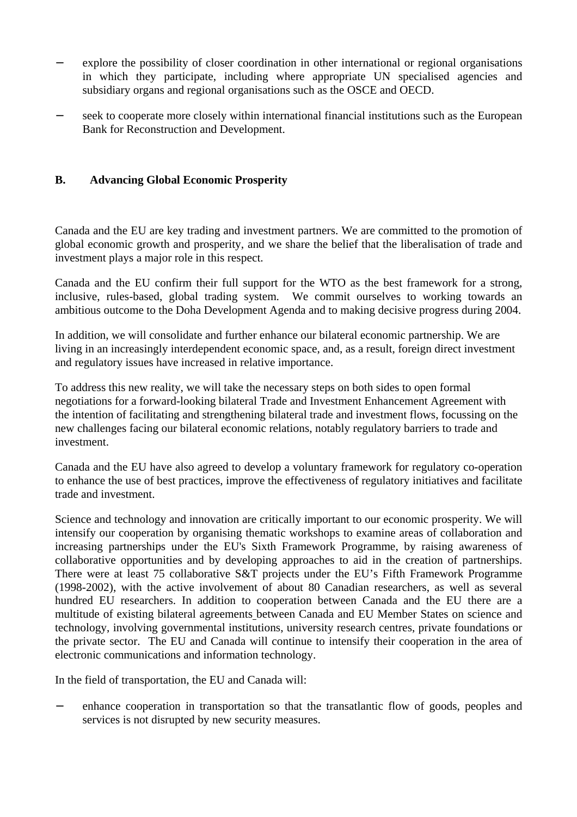- − explore the possibility of closer coordination in other international or regional organisations in which they participate, including where appropriate UN specialised agencies and subsidiary organs and regional organisations such as the OSCE and OECD.
- seek to cooperate more closely within international financial institutions such as the European Bank for Reconstruction and Development.

## **B. Advancing Global Economic Prosperity**

Canada and the EU are key trading and investment partners. We are committed to the promotion of global economic growth and prosperity, and we share the belief that the liberalisation of trade and investment plays a major role in this respect.

Canada and the EU confirm their full support for the WTO as the best framework for a strong, inclusive, rules-based, global trading system. We commit ourselves to working towards an ambitious outcome to the Doha Development Agenda and to making decisive progress during 2004.

In addition, we will consolidate and further enhance our bilateral economic partnership. We are living in an increasingly interdependent economic space, and, as a result, foreign direct investment and regulatory issues have increased in relative importance.

To address this new reality, we will take the necessary steps on both sides to open formal negotiations for a forward-looking bilateral Trade and Investment Enhancement Agreement with the intention of facilitating and strengthening bilateral trade and investment flows, focussing on the new challenges facing our bilateral economic relations, notably regulatory barriers to trade and investment.

Canada and the EU have also agreed to develop a voluntary framework for regulatory co-operation to enhance the use of best practices, improve the effectiveness of regulatory initiatives and facilitate trade and investment.

Science and technology and innovation are critically important to our economic prosperity. We will intensify our cooperation by organising thematic workshops to examine areas of collaboration and increasing partnerships under the EU's Sixth Framework Programme, by raising awareness of collaborative opportunities and by developing approaches to aid in the creation of partnerships. There were at least 75 collaborative S&T projects under the EU's Fifth Framework Programme (1998-2002), with the active involvement of about 80 Canadian researchers, as well as several hundred EU researchers. In addition to cooperation between Canada and the EU there are a multitude of existing bilateral agreements between Canada and EU Member States on science and technology, involving governmental institutions, university research centres, private foundations or the private sector. The EU and Canada will continue to intensify their cooperation in the area of electronic communications and information technology.

In the field of transportation, the EU and Canada will:

enhance cooperation in transportation so that the transatlantic flow of goods, peoples and services is not disrupted by new security measures.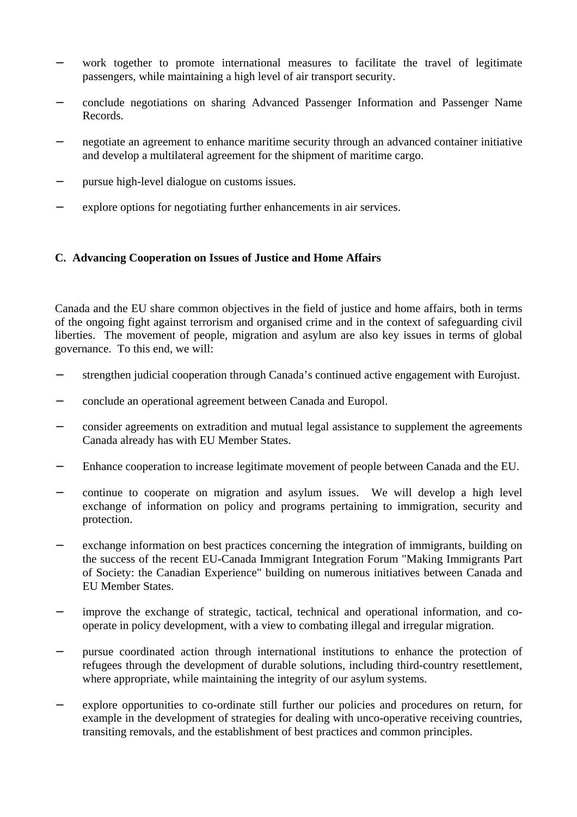- − work together to promote international measures to facilitate the travel of legitimate passengers, while maintaining a high level of air transport security.
- − conclude negotiations on sharing Advanced Passenger Information and Passenger Name Records.
- negotiate an agreement to enhance maritime security through an advanced container initiative and develop a multilateral agreement for the shipment of maritime cargo.
- − pursue high-level dialogue on customs issues.
- explore options for negotiating further enhancements in air services.

#### **C. Advancing Cooperation on Issues of Justice and Home Affairs**

Canada and the EU share common objectives in the field of justice and home affairs, both in terms of the ongoing fight against terrorism and organised crime and in the context of safeguarding civil liberties. The movement of people, migration and asylum are also key issues in terms of global governance. To this end, we will:

- − strengthen judicial cooperation through Canada's continued active engagement with Eurojust.
- − conclude an operational agreement between Canada and Europol.
- − consider agreements on extradition and mutual legal assistance to supplement the agreements Canada already has with EU Member States.
- − Enhance cooperation to increase legitimate movement of people between Canada and the EU.
- − continue to cooperate on migration and asylum issues. We will develop a high level exchange of information on policy and programs pertaining to immigration, security and protection.
- exchange information on best practices concerning the integration of immigrants, building on the success of the recent EU-Canada Immigrant Integration Forum "Making Immigrants Part of Society: the Canadian Experience" building on numerous initiatives between Canada and EU Member States.
- improve the exchange of strategic, tactical, technical and operational information, and cooperate in policy development, with a view to combating illegal and irregular migration.
- − pursue coordinated action through international institutions to enhance the protection of refugees through the development of durable solutions, including third-country resettlement, where appropriate, while maintaining the integrity of our asylum systems.
- − explore opportunities to co-ordinate still further our policies and procedures on return, for example in the development of strategies for dealing with unco-operative receiving countries, transiting removals, and the establishment of best practices and common principles.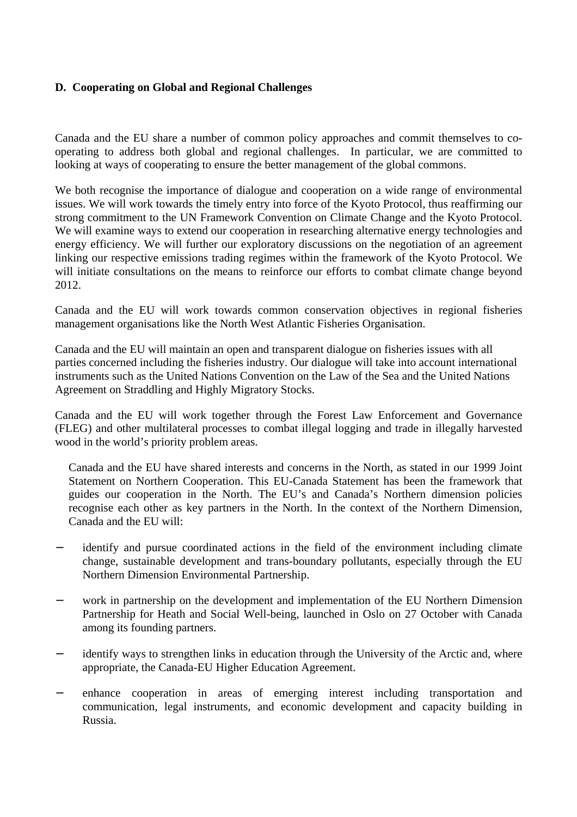#### **D. Cooperating on Global and Regional Challenges**

Canada and the EU share a number of common policy approaches and commit themselves to cooperating to address both global and regional challenges. In particular, we are committed to looking at ways of cooperating to ensure the better management of the global commons.

We both recognise the importance of dialogue and cooperation on a wide range of environmental issues. We will work towards the timely entry into force of the Kyoto Protocol, thus reaffirming our strong commitment to the UN Framework Convention on Climate Change and the Kyoto Protocol. We will examine ways to extend our cooperation in researching alternative energy technologies and energy efficiency. We will further our exploratory discussions on the negotiation of an agreement linking our respective emissions trading regimes within the framework of the Kyoto Protocol. We will initiate consultations on the means to reinforce our efforts to combat climate change beyond 2012.

Canada and the EU will work towards common conservation objectives in regional fisheries management organisations like the North West Atlantic Fisheries Organisation.

Canada and the EU will maintain an open and transparent dialogue on fisheries issues with all parties concerned including the fisheries industry. Our dialogue will take into account international instruments such as the United Nations Convention on the Law of the Sea and the United Nations Agreement on Straddling and Highly Migratory Stocks.

Canada and the EU will work together through the Forest Law Enforcement and Governance (FLEG) and other multilateral processes to combat illegal logging and trade in illegally harvested wood in the world's priority problem areas.

Canada and the EU have shared interests and concerns in the North, as stated in our 1999 Joint Statement on Northern Cooperation. This EU-Canada Statement has been the framework that guides our cooperation in the North. The EU's and Canada's Northern dimension policies recognise each other as key partners in the North. In the context of the Northern Dimension, Canada and the EU will:

- − identify and pursue coordinated actions in the field of the environment including climate change, sustainable development and trans-boundary pollutants, especially through the EU Northern Dimension Environmental Partnership.
- − work in partnership on the development and implementation of the EU Northern Dimension Partnership for Heath and Social Well-being, launched in Oslo on 27 October with Canada among its founding partners.
- identify ways to strengthen links in education through the University of the Arctic and, where appropriate, the Canada-EU Higher Education Agreement.
- − enhance cooperation in areas of emerging interest including transportation and communication, legal instruments, and economic development and capacity building in Russia.